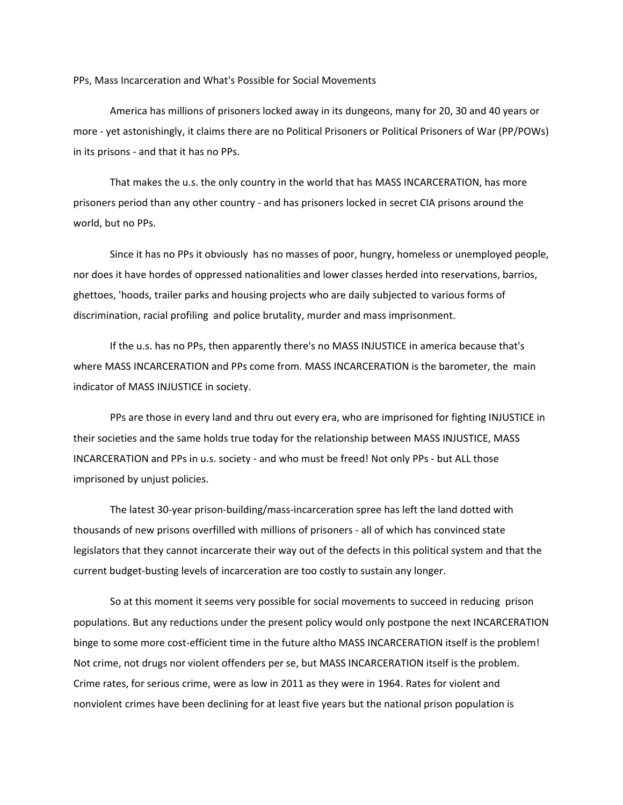PPs, Mass Incarceration and What's Possible for Social Movements

America has millions of prisoners locked away in its dungeons, many for 20, 30 and 40 years or more ‐ yet astonishingly, it claims there are no Political Prisoners or Political Prisoners of War (PP/POWs) in its prisons ‐ and that it has no PPs.

That makes the u.s. the only country in the world that has MASS INCARCERATION, has more prisoners period than any other country ‐ and has prisoners locked in secret CIA prisons around the world, but no PPs.

Since it has no PPs it obviously has no masses of poor, hungry, homeless or unemployed people, nor does it have hordes of oppressed nationalities and lower classes herded into reservations, barrios, ghettoes, 'hoods, trailer parks and housing projects who are daily subjected to various forms of discrimination, racial profiling and police brutality, murder and mass imprisonment.

If the u.s. has no PPs, then apparently there's no MASS INJUSTICE in america because that's where MASS INCARCERATION and PPs come from. MASS INCARCERATION is the barometer, the main indicator of MASS INJUSTICE in society.

PPs are those in every land and thru out every era, who are imprisoned for fighting INJUSTICE in their societies and the same holds true today for the relationship between MASS INJUSTICE, MASS INCARCERATION and PPs in u.s. society ‐ and who must be freed! Not only PPs ‐ but ALL those imprisoned by unjust policies.

The latest 30‐year prison‐building/mass‐incarceration spree has left the land dotted with thousands of new prisons overfilled with millions of prisoners ‐ all of which has convinced state legislators that they cannot incarcerate their way out of the defects in this political system and that the current budget‐busting levels of incarceration are too costly to sustain any longer.

So at this moment it seems very possible for social movements to succeed in reducing prison populations. But any reductions under the present policy would only postpone the next INCARCERATION binge to some more cost-efficient time in the future altho MASS INCARCERATION itself is the problem! Not crime, not drugs nor violent offenders per se, but MASS INCARCERATION itself is the problem. Crime rates, for serious crime, were as low in 2011 as they were in 1964. Rates for violent and nonviolent crimes have been declining for at least five years but the national prison population is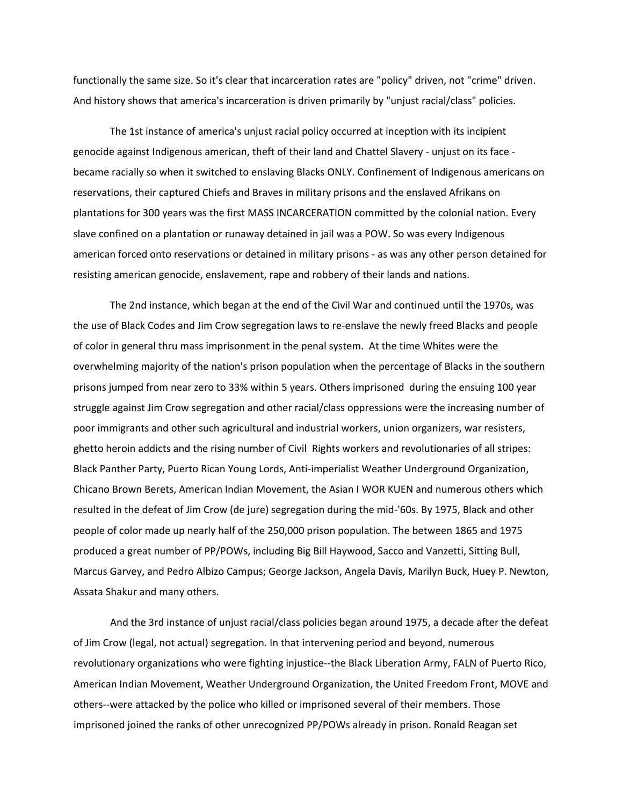functionally the same size. So it's clear that incarceration rates are "policy" driven, not "crime" driven. And history shows that america's incarceration is driven primarily by "unjust racial/class" policies.

The 1st instance of america's unjust racial policy occurred at inception with its incipient genocide against Indigenous american, theft of their land and Chattel Slavery ‐ unjust on its face ‐ became racially so when it switched to enslaving Blacks ONLY. Confinement of Indigenous americans on reservations, their captured Chiefs and Braves in military prisons and the enslaved Afrikans on plantations for 300 years was the first MASS INCARCERATION committed by the colonial nation. Every slave confined on a plantation or runaway detained in jail was a POW. So was every Indigenous american forced onto reservations or detained in military prisons ‐ as was any other person detained for resisting american genocide, enslavement, rape and robbery of their lands and nations.

The 2nd instance, which began at the end of the Civil War and continued until the 1970s, was the use of Black Codes and Jim Crow segregation laws to re‐enslave the newly freed Blacks and people of color in general thru mass imprisonment in the penal system. At the time Whites were the overwhelming majority of the nation's prison population when the percentage of Blacks in the southern prisons jumped from near zero to 33% within 5 years. Others imprisoned during the ensuing 100 year struggle against Jim Crow segregation and other racial/class oppressions were the increasing number of poor immigrants and other such agricultural and industrial workers, union organizers, war resisters, ghetto heroin addicts and the rising number of Civil Rights workers and revolutionaries of all stripes: Black Panther Party, Puerto Rican Young Lords, Anti‐imperialist Weather Underground Organization, Chicano Brown Berets, American Indian Movement, the Asian I WOR KUEN and numerous others which resulted in the defeat of Jim Crow (de jure) segregation during the mid‐'60s. By 1975, Black and other people of color made up nearly half of the 250,000 prison population. The between 1865 and 1975 produced a great number of PP/POWs, including Big Bill Haywood, Sacco and Vanzetti, Sitting Bull, Marcus Garvey, and Pedro Albizo Campus; George Jackson, Angela Davis, Marilyn Buck, Huey P. Newton, Assata Shakur and many others.

And the 3rd instance of unjust racial/class policies began around 1975, a decade after the defeat of Jim Crow (legal, not actual) segregation. In that intervening period and beyond, numerous revolutionary organizations who were fighting injustice‐‐the Black Liberation Army, FALN of Puerto Rico, American Indian Movement, Weather Underground Organization, the United Freedom Front, MOVE and others‐‐were attacked by the police who killed or imprisoned several of their members. Those imprisoned joined the ranks of other unrecognized PP/POWs already in prison. Ronald Reagan set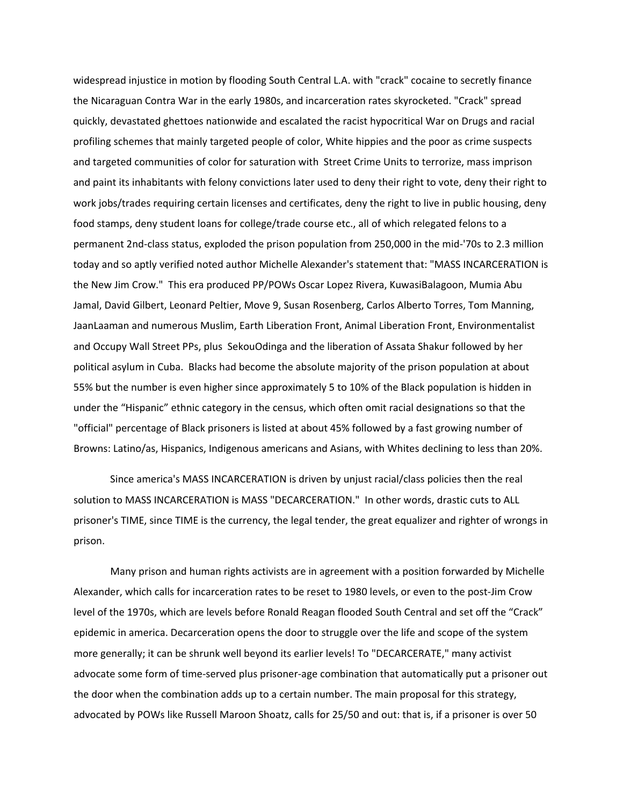widespread injustice in motion by flooding South Central L.A. with "crack" cocaine to secretly finance the Nicaraguan Contra War in the early 1980s, and incarceration rates skyrocketed. "Crack" spread quickly, devastated ghettoes nationwide and escalated the racist hypocritical War on Drugs and racial profiling schemes that mainly targeted people of color, White hippies and the poor as crime suspects and targeted communities of color for saturation with Street Crime Units to terrorize, mass imprison and paint its inhabitants with felony convictions later used to deny their right to vote, deny their right to work jobs/trades requiring certain licenses and certificates, deny the right to live in public housing, deny food stamps, deny student loans for college/trade course etc., all of which relegated felons to a permanent 2nd‐class status, exploded the prison population from 250,000 in the mid‐'70s to 2.3 million today and so aptly verified noted author Michelle Alexander's statement that: "MASS INCARCERATION is the New Jim Crow." This era produced PP/POWs Oscar Lopez Rivera, KuwasiBalagoon, Mumia Abu Jamal, David Gilbert, Leonard Peltier, Move 9, Susan Rosenberg, Carlos Alberto Torres, Tom Manning, JaanLaaman and numerous Muslim, Earth Liberation Front, Animal Liberation Front, Environmentalist and Occupy Wall Street PPs, plus SekouOdinga and the liberation of Assata Shakur followed by her political asylum in Cuba. Blacks had become the absolute majority of the prison population at about 55% but the number is even higher since approximately 5 to 10% of the Black population is hidden in under the "Hispanic" ethnic category in the census, which often omit racial designations so that the "official" percentage of Black prisoners is listed at about 45% followed by a fast growing number of Browns: Latino/as, Hispanics, Indigenous americans and Asians, with Whites declining to less than 20%.

Since america's MASS INCARCERATION is driven by unjust racial/class policies then the real solution to MASS INCARCERATION is MASS "DECARCERATION." In other words, drastic cuts to ALL prisoner's TIME, since TIME is the currency, the legal tender, the great equalizer and righter of wrongs in prison.

Many prison and human rights activists are in agreement with a position forwarded by Michelle Alexander, which calls for incarceration rates to be reset to 1980 levels, or even to the post‐Jim Crow level of the 1970s, which are levels before Ronald Reagan flooded South Central and set off the "Crack" epidemic in america. Decarceration opens the door to struggle over the life and scope of the system more generally; it can be shrunk well beyond its earlier levels! To "DECARCERATE," many activist advocate some form of time‐served plus prisoner‐age combination that automatically put a prisoner out the door when the combination adds up to a certain number. The main proposal for this strategy, advocated by POWs like Russell Maroon Shoatz, calls for 25/50 and out: that is, if a prisoner is over 50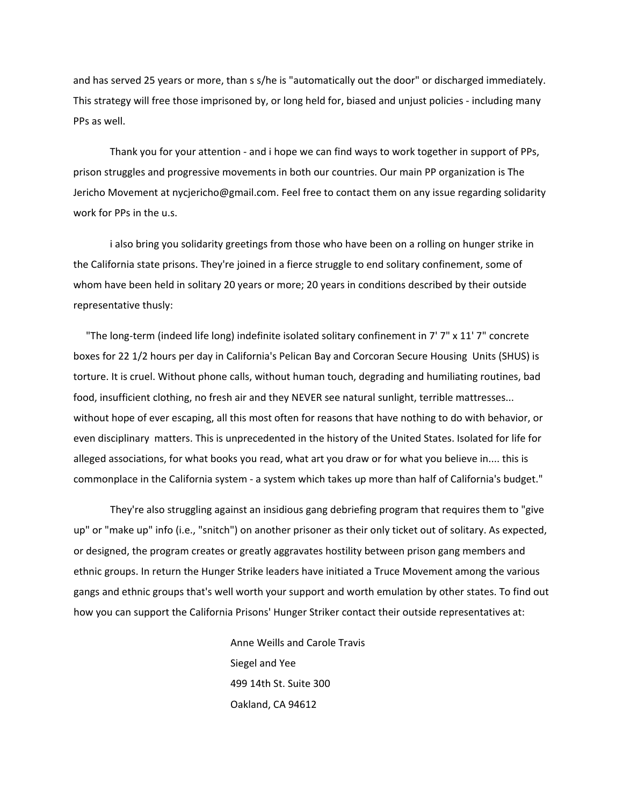and has served 25 years or more, than s s/he is "automatically out the door" or discharged immediately. This strategy will free those imprisoned by, or long held for, biased and unjust policies ‐ including many PPs as well.

Thank you for your attention ‐ and i hope we can find ways to work together in support of PPs, prison struggles and progressive movements in both our countries. Our main PP organization is The Jericho Movement at nycjericho@gmail.com. Feel free to contact them on any issue regarding solidarity work for PPs in the u.s.

i also bring you solidarity greetings from those who have been on a rolling on hunger strike in the California state prisons. They're joined in a fierce struggle to end solitary confinement, some of whom have been held in solitary 20 years or more; 20 years in conditions described by their outside representative thusly:

 "The long‐term (indeed life long) indefinite isolated solitary confinement in 7' 7" x 11' 7" concrete boxes for 22 1/2 hours per day in California's Pelican Bay and Corcoran Secure Housing Units (SHUS) is torture. It is cruel. Without phone calls, without human touch, degrading and humiliating routines, bad food, insufficient clothing, no fresh air and they NEVER see natural sunlight, terrible mattresses... without hope of ever escaping, all this most often for reasons that have nothing to do with behavior, or even disciplinary matters. This is unprecedented in the history of the United States. Isolated for life for alleged associations, for what books you read, what art you draw or for what you believe in.... this is commonplace in the California system ‐ a system which takes up more than half of California's budget."

They're also struggling against an insidious gang debriefing program that requires them to "give up" or "make up" info (i.e., "snitch") on another prisoner as their only ticket out of solitary. As expected, or designed, the program creates or greatly aggravates hostility between prison gang members and ethnic groups. In return the Hunger Strike leaders have initiated a Truce Movement among the various gangs and ethnic groups that's well worth your support and worth emulation by other states. To find out how you can support the California Prisons' Hunger Striker contact their outside representatives at:

> Anne Weills and Carole Travis Siegel and Yee 499 14th St. Suite 300 Oakland, CA 94612